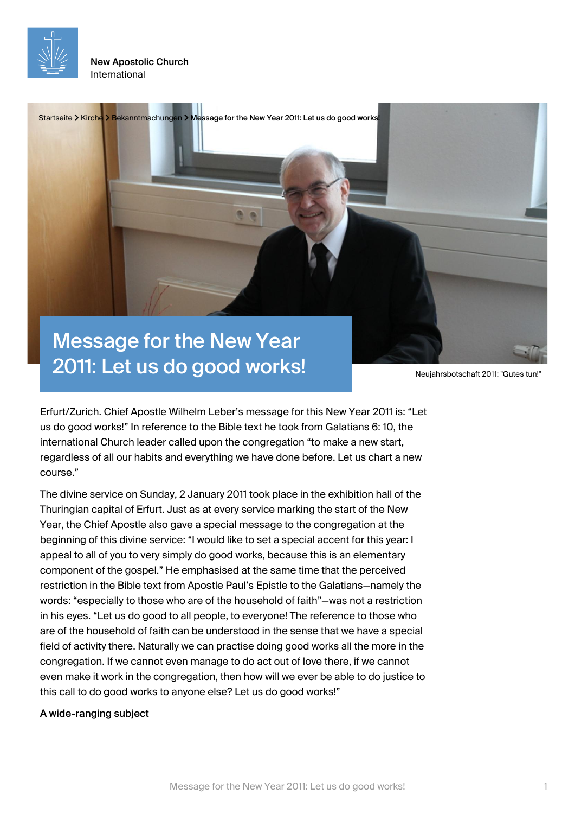

New Apostolic Church International



2011: Let us do good works!

Erfurt/Zurich. Chief Apostle Wilhelm Leber's message for this New Year 2011 is: "Let us do good works!" In reference to the Bible text he took from Galatians 6: 10, the international Church leader called upon the congregation "to make a new start, regardless of all our habits and everything we have done before. Let us chart a new course."

The divine service on Sunday, 2 January 2011 took place in the exhibition hall of the Thuringian capital of Erfurt. Just as at every service marking the start of the New Year, the Chief Apostle also gave a special message to the congregation at the beginning of this divine service: "I would like to set a special accent for this year: I appeal to all of you to very simply do good works, because this is an elementary component of the gospel." He emphasised at the same time that the perceived restriction in the Bible text from Apostle Paul's Epistle to the Galatians—namely the words: "especially to those who are of the household of faith"—was not a restriction in his eyes. "Let us do good to all people, to everyone! The reference to those who are of the household of faith can be understood in the sense that we have a special field of activity there. Naturally we can practise doing good works all the more in the congregation. If we cannot even manage to do act out of love there, if we cannot even make it work in the congregation, then how will we ever be able to do justice to this call to do good works to anyone else? Let us do good works!"

A wide-ranging subject